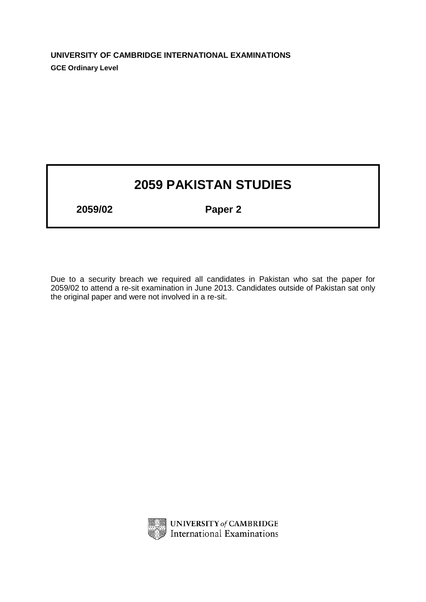## **UNIVERSITY OF CAMBRIDGE INTERNATIONAL EXAMINATIONS GCE Ordinary Level**

# **2059 PAKISTAN STUDIES**

**2059/02 Paper 2**

Due to a security breach we required all candidates in Pakistan who sat the paper for 2059/02 to attend a re-sit examination in June 2013. Candidates outside of Pakistan sat only the original paper and were not involved in a re-sit.

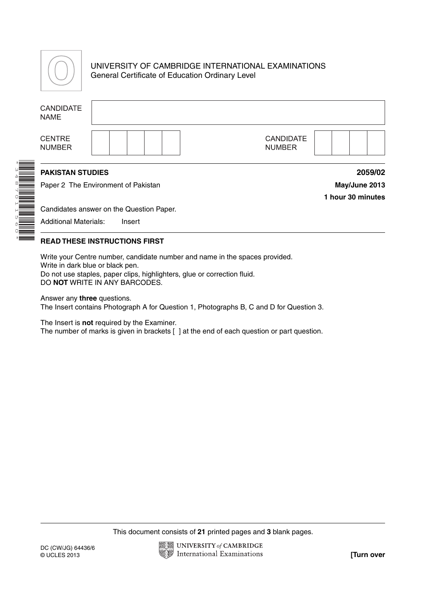

\*3487011560\*

### UNIVERSITY OF CAMBRIDGE INTERNATIONAL EXAMINATIONS General Certificate of Education Ordinary Level

| <b>CANDIDATE</b><br><b>NAME</b> |                                                    |                                   |                          |
|---------------------------------|----------------------------------------------------|-----------------------------------|--------------------------|
| <b>CENTRE</b><br><b>NUMBER</b>  |                                                    | <b>CANDIDATE</b><br><b>NUMBER</b> |                          |
| <b>PAKISTAN STUDIES</b>         | Paper 2 The Environment of Pakistan                |                                   | 2059/02<br>May/June 2013 |
| <b>Additional Materials:</b>    | Candidates answer on the Question Paper.<br>Insert |                                   | 1 hour 30 minutes        |

#### **READ THESE INSTRUCTIONS FIRST**

Write your Centre number, candidate number and name in the spaces provided. Write in dark blue or black pen. Do not use staples, paper clips, highlighters, glue or correction fluid. DO **NOT** WRITE IN ANY BARCODES.

Answer any **three** questions. The Insert contains Photograph A for Question 1, Photographs B, C and D for Question 3.

The Insert is **not** required by the Examiner. The number of marks is given in brackets [ ] at the end of each question or part question.

This document consists of **21** printed pages and **3** blank pages.

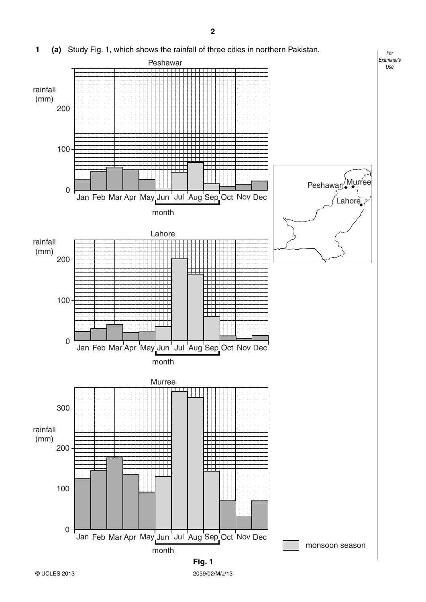

<sup>©</sup> UCLES 2013 2059/02/M/J/13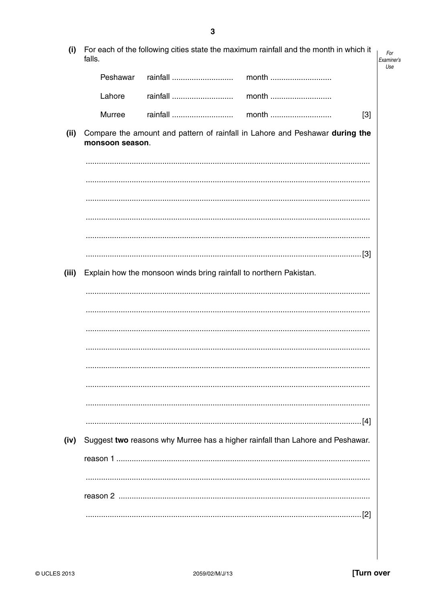| (i)   | falls.          |          | For each of the following cities state the maximum rainfall and the month in which it |       |
|-------|-----------------|----------|---------------------------------------------------------------------------------------|-------|
|       | Peshawar        | rainfall | month                                                                                 |       |
|       | Lahore          | rainfall | month                                                                                 |       |
|       | Murree          | rainfall | month                                                                                 | $[3]$ |
| (ii)  | monsoon season. |          | Compare the amount and pattern of rainfall in Lahore and Peshawar during the          |       |
|       |                 |          |                                                                                       |       |
|       |                 |          |                                                                                       |       |
|       |                 |          |                                                                                       |       |
|       |                 |          |                                                                                       |       |
| (iii) |                 |          | Explain how the monsoon winds bring rainfall to northern Pakistan.                    |       |
|       |                 |          |                                                                                       |       |
|       |                 |          |                                                                                       |       |
|       |                 |          |                                                                                       |       |
|       |                 |          |                                                                                       |       |
|       |                 |          |                                                                                       |       |
|       |                 |          |                                                                                       |       |
|       |                 |          |                                                                                       |       |
|       |                 |          |                                                                                       |       |
| (iv)  |                 |          | Suggest two reasons why Murree has a higher rainfall than Lahore and Peshawar.        |       |
|       |                 |          |                                                                                       |       |
|       |                 |          |                                                                                       |       |
|       |                 |          |                                                                                       |       |
|       |                 |          |                                                                                       |       |
|       |                 |          |                                                                                       |       |

 $\mathbf{3}$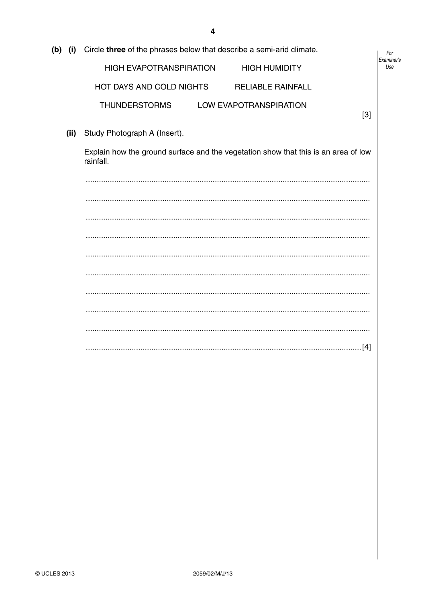| $(b)$ (i) |      | Circle three of the phrases below that describe a semi-arid climate.                            |                   |  |
|-----------|------|-------------------------------------------------------------------------------------------------|-------------------|--|
|           |      | <b>HIGH EVAPOTRANSPIRATION</b><br><b>HIGH HUMIDITY</b>                                          | Examiner's<br>Use |  |
|           |      | HOT DAYS AND COLD NIGHTS<br><b>RELIABLE RAINFALL</b>                                            |                   |  |
|           |      | LOW EVAPOTRANSPIRATION<br><b>THUNDERSTORMS</b><br>$[3]$                                         |                   |  |
|           | (ii) | Study Photograph A (Insert).                                                                    |                   |  |
|           |      | Explain how the ground surface and the vegetation show that this is an area of low<br>rainfall. |                   |  |
|           |      |                                                                                                 |                   |  |
|           |      |                                                                                                 |                   |  |
|           |      |                                                                                                 |                   |  |
|           |      |                                                                                                 |                   |  |
|           |      |                                                                                                 |                   |  |
|           |      |                                                                                                 |                   |  |
|           |      |                                                                                                 |                   |  |
|           |      |                                                                                                 |                   |  |
|           |      |                                                                                                 |                   |  |
|           |      |                                                                                                 |                   |  |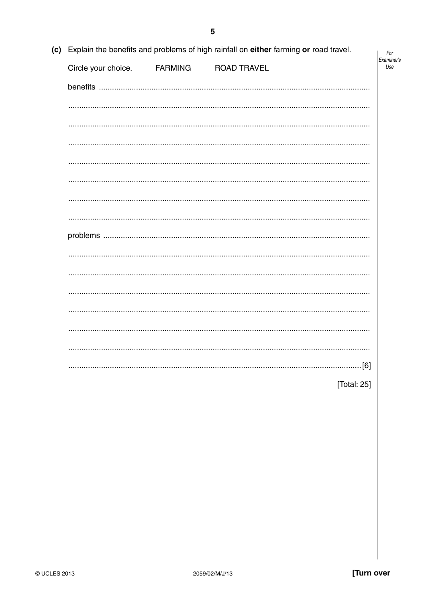| (c) Explain the benefits and problems of high rainfall on either farming or road travel. |                |                    |             |                   |
|------------------------------------------------------------------------------------------|----------------|--------------------|-------------|-------------------|
| Circle your choice.                                                                      | <b>FARMING</b> | <b>ROAD TRAVEL</b> |             | Examiner's<br>Use |
|                                                                                          |                |                    |             |                   |
|                                                                                          |                |                    |             |                   |
|                                                                                          |                |                    |             |                   |
|                                                                                          |                |                    |             |                   |
|                                                                                          |                |                    |             |                   |
|                                                                                          |                |                    |             |                   |
|                                                                                          |                |                    |             |                   |
|                                                                                          |                |                    |             |                   |
|                                                                                          |                |                    |             |                   |
|                                                                                          |                |                    |             |                   |
|                                                                                          |                |                    |             |                   |
|                                                                                          |                |                    |             |                   |
|                                                                                          |                |                    |             |                   |
|                                                                                          |                |                    |             |                   |
|                                                                                          |                |                    |             |                   |
|                                                                                          |                |                    |             |                   |
|                                                                                          |                |                    | [Total: 25] |                   |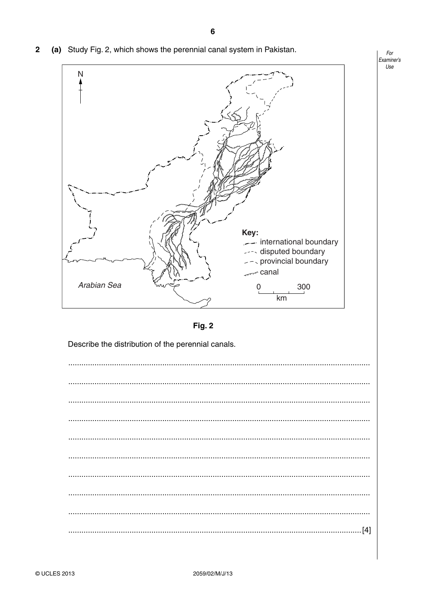

Fig. 2

Describe the distribution of the perennial canals.

| $\begin{minipage}[c]{0.49\textwidth} \centering \begin{tabular}[c]{@{}l@{}} \hline \multicolumn{1}{c}{\textbf{0.69\textwidth} \centering \centering \end{tabular} \end{minipage} } \begin{minipage}[c]{0.49\textwidth} \centering \begin{tabular}[c]{@{}l@{}} \hline \multicolumn{1}{c}{\textbf{0.69\textwidth} \centering \centering \end{tabular} \end{minipage} } \begin{minipage}[c]{0.49\textwidth} \centering \begin{tabular}[c]{@{}l@{}} \hline \multicolumn{1}{c}{\textbf{0.69\textwidth} \centering \centering$ |  |
|--------------------------------------------------------------------------------------------------------------------------------------------------------------------------------------------------------------------------------------------------------------------------------------------------------------------------------------------------------------------------------------------------------------------------------------------------------------------------------------------------------------------------|--|
|                                                                                                                                                                                                                                                                                                                                                                                                                                                                                                                          |  |
|                                                                                                                                                                                                                                                                                                                                                                                                                                                                                                                          |  |
|                                                                                                                                                                                                                                                                                                                                                                                                                                                                                                                          |  |
|                                                                                                                                                                                                                                                                                                                                                                                                                                                                                                                          |  |
|                                                                                                                                                                                                                                                                                                                                                                                                                                                                                                                          |  |
|                                                                                                                                                                                                                                                                                                                                                                                                                                                                                                                          |  |
|                                                                                                                                                                                                                                                                                                                                                                                                                                                                                                                          |  |
|                                                                                                                                                                                                                                                                                                                                                                                                                                                                                                                          |  |

For

Use

 $\mathbf{2}$ (a) Study Fig. 2, which shows the perennial canal system in Pakistan.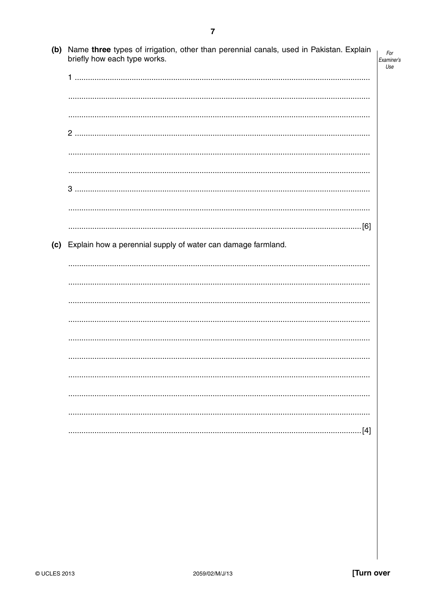| (b) | Name three types of irrigation, other than perennial canals, used in Pakistan. Explain<br>briefly how each type works. | For<br>Examiner's<br>Use |
|-----|------------------------------------------------------------------------------------------------------------------------|--------------------------|
|     | 1                                                                                                                      |                          |
|     |                                                                                                                        |                          |
|     |                                                                                                                        |                          |
|     |                                                                                                                        |                          |
|     |                                                                                                                        |                          |
|     |                                                                                                                        |                          |
|     |                                                                                                                        |                          |
|     |                                                                                                                        |                          |
|     |                                                                                                                        |                          |
| (c) | Explain how a perennial supply of water can damage farmland.                                                           |                          |
|     |                                                                                                                        |                          |
|     |                                                                                                                        |                          |
|     |                                                                                                                        |                          |
|     |                                                                                                                        |                          |
|     |                                                                                                                        |                          |
|     |                                                                                                                        |                          |
|     |                                                                                                                        |                          |
|     |                                                                                                                        |                          |
|     |                                                                                                                        |                          |
|     | $\lfloor 4 \rfloor$                                                                                                    |                          |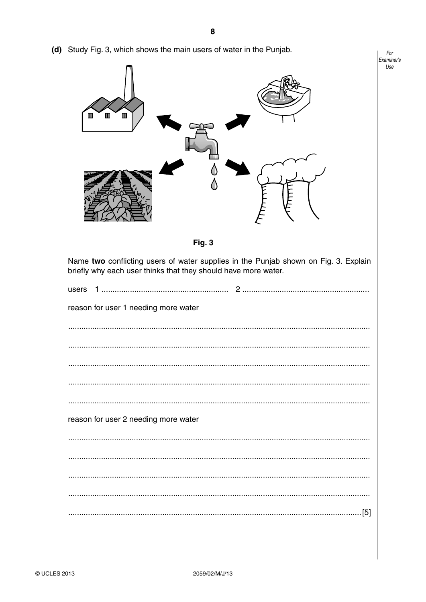| Ш<br>Ш<br>▥<br>Fig. 3<br>Name two conflicting users of water supplies in the Punjab shown on Fig. 3. Explain<br>briefly why each user thinks that they should have more water.<br>users<br>reason for user 1 needing more water<br>reason for user 2 needing more water<br>. [5] | Examiner's |
|----------------------------------------------------------------------------------------------------------------------------------------------------------------------------------------------------------------------------------------------------------------------------------|------------|
|                                                                                                                                                                                                                                                                                  |            |
|                                                                                                                                                                                                                                                                                  |            |
|                                                                                                                                                                                                                                                                                  |            |
|                                                                                                                                                                                                                                                                                  |            |
|                                                                                                                                                                                                                                                                                  |            |
|                                                                                                                                                                                                                                                                                  |            |
|                                                                                                                                                                                                                                                                                  |            |
|                                                                                                                                                                                                                                                                                  |            |
|                                                                                                                                                                                                                                                                                  |            |
|                                                                                                                                                                                                                                                                                  |            |
|                                                                                                                                                                                                                                                                                  |            |
|                                                                                                                                                                                                                                                                                  |            |
|                                                                                                                                                                                                                                                                                  |            |
|                                                                                                                                                                                                                                                                                  |            |
|                                                                                                                                                                                                                                                                                  |            |
|                                                                                                                                                                                                                                                                                  |            |

(d) Study Fig. 3, which shows the main users of water in the Puniab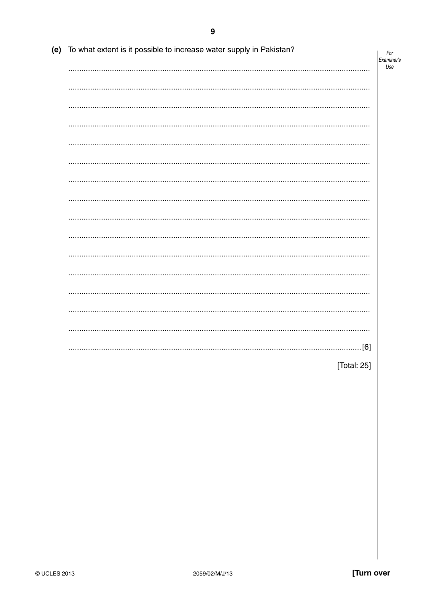| (e) To what extent is it possible to increase water supply in Pakistan? | For        |
|-------------------------------------------------------------------------|------------|
|                                                                         | Examiner's |
|                                                                         | Use        |
|                                                                         |            |
|                                                                         |            |
|                                                                         |            |
|                                                                         |            |
|                                                                         |            |
|                                                                         |            |
|                                                                         |            |
|                                                                         |            |
|                                                                         |            |
|                                                                         |            |
|                                                                         |            |
|                                                                         |            |
|                                                                         |            |
|                                                                         |            |
|                                                                         |            |
| [6]                                                                     |            |
| [Total: 25]                                                             |            |

 $\boldsymbol{9}$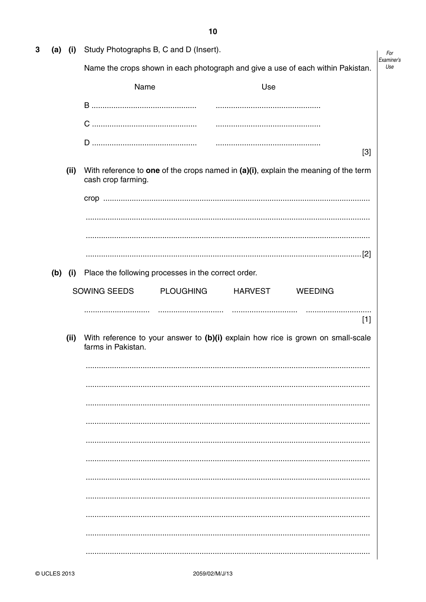| 3 |           | $(a)$ (i) | Study Photographs B, C and D (Insert).                                                                    | For               |
|---|-----------|-----------|-----------------------------------------------------------------------------------------------------------|-------------------|
|   |           |           | Name the crops shown in each photograph and give a use of each within Pakistan.                           | Examiner's<br>Use |
|   |           |           | Name<br>Use                                                                                               |                   |
|   |           |           |                                                                                                           |                   |
|   |           |           |                                                                                                           |                   |
|   |           |           | $[3]$                                                                                                     |                   |
|   |           | (ii)      | With reference to one of the crops named in (a)(i), explain the meaning of the term<br>cash crop farming. |                   |
|   |           |           |                                                                                                           |                   |
|   |           |           |                                                                                                           |                   |
|   |           |           |                                                                                                           |                   |
|   | $(b)$ (i) |           | Place the following processes in the correct order.                                                       |                   |
|   |           |           | SOWING SEEDS<br><b>PLOUGHING</b><br><b>HARVEST</b><br><b>WEEDING</b>                                      |                   |
|   |           |           |                                                                                                           |                   |
|   |           |           | $[1]$                                                                                                     |                   |
|   |           | (ii)      | With reference to your answer to (b)(i) explain how rice is grown on small-scale<br>farms in Pakistan.    |                   |
|   |           |           |                                                                                                           |                   |
|   |           |           |                                                                                                           |                   |
|   |           |           |                                                                                                           |                   |
|   |           |           |                                                                                                           |                   |
|   |           |           |                                                                                                           |                   |
|   |           |           |                                                                                                           |                   |
|   |           |           |                                                                                                           |                   |
|   |           |           |                                                                                                           |                   |
|   |           |           |                                                                                                           |                   |
|   |           |           |                                                                                                           |                   |
|   |           |           |                                                                                                           |                   |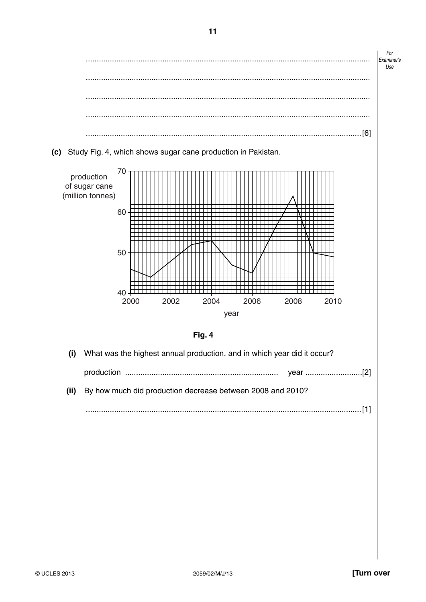For Examiner's Use (c) Study Fig. 4, which shows sugar cane production in Pakistan. 70 production of sugar cane (million tonnes) 60 50 40 2000 2002 2004 2006 2008 2010 year



(i) What was the highest annual production, and in which year did it occur? (ii) By how much did production decrease between 2008 and 2010?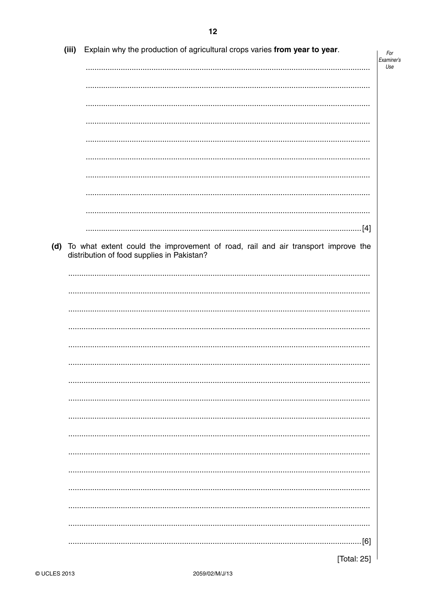|     | (iii) Explain why the production of agricultural crops varies from year to year.                                               |
|-----|--------------------------------------------------------------------------------------------------------------------------------|
|     |                                                                                                                                |
|     |                                                                                                                                |
|     |                                                                                                                                |
|     |                                                                                                                                |
|     |                                                                                                                                |
|     |                                                                                                                                |
|     |                                                                                                                                |
|     |                                                                                                                                |
|     |                                                                                                                                |
| (d) | To what extent could the improvement of road, rail and air transport improve the<br>distribution of food supplies in Pakistan? |
|     |                                                                                                                                |
|     |                                                                                                                                |
|     |                                                                                                                                |
|     |                                                                                                                                |
|     |                                                                                                                                |
|     |                                                                                                                                |
|     |                                                                                                                                |
|     |                                                                                                                                |
|     |                                                                                                                                |
|     |                                                                                                                                |
|     |                                                                                                                                |
|     |                                                                                                                                |
|     |                                                                                                                                |
|     |                                                                                                                                |
|     |                                                                                                                                |
|     | $\dots[6]$                                                                                                                     |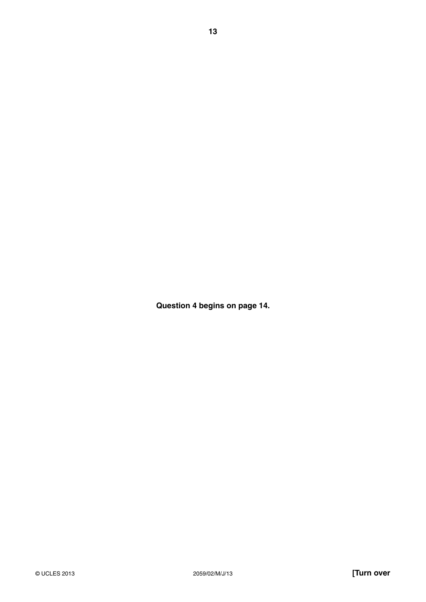**Question 4 begins on page 14.**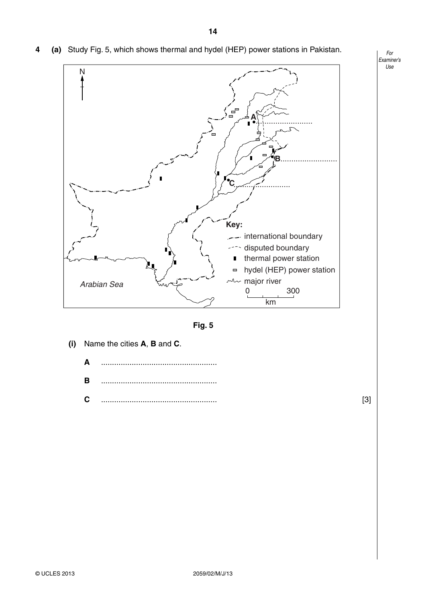



- **(i)** Name the cities **A**, **B** and **C**.
	- **A** ..................................................... **B** ..................................................... **C** ..................................................... [3]

*For Examiner's Use*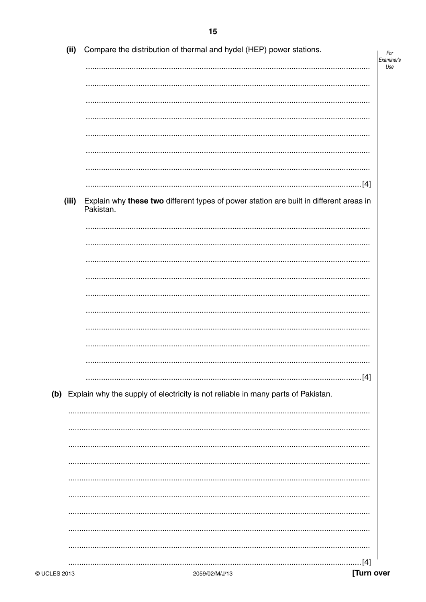| (ii) | Compare the distribution of thermal and hydel (HEP) power stations.                                       |
|------|-----------------------------------------------------------------------------------------------------------|
|      |                                                                                                           |
|      |                                                                                                           |
|      |                                                                                                           |
|      |                                                                                                           |
|      |                                                                                                           |
|      | (iii) Explain why these two different types of power station are built in different areas in<br>Pakistan. |
|      |                                                                                                           |
|      |                                                                                                           |
|      |                                                                                                           |
|      |                                                                                                           |
|      |                                                                                                           |
|      |                                                                                                           |
|      |                                                                                                           |
|      |                                                                                                           |
|      | (b) Explain why the supply of electricity is not reliable in many parts of Pakistan.                      |
|      |                                                                                                           |
|      |                                                                                                           |
|      |                                                                                                           |
|      |                                                                                                           |
|      |                                                                                                           |
|      |                                                                                                           |
|      |                                                                                                           |
|      |                                                                                                           |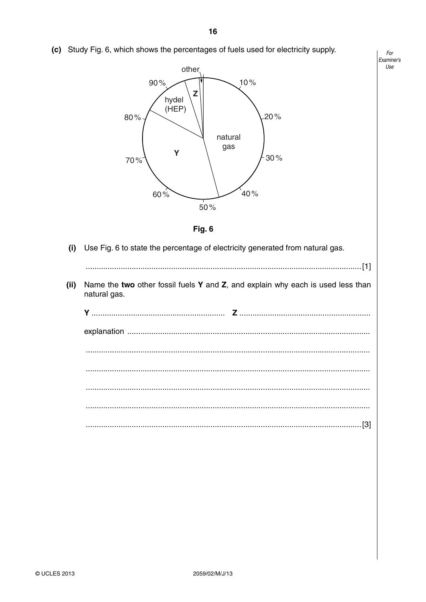(c) Study Fig. 6, which shows the percentages of fuels used for electricity supply.





- (i) Use Fig. 6 to state the percentage of electricity generated from natural gas.
- (ii) Name the two other fossil fuels Y and Z, and explain why each is used less than natural gas.



For Examiner's Use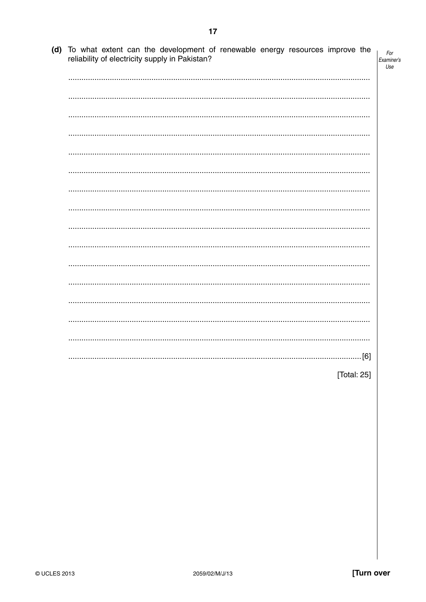(d) To what extent can the development of renewable energy resources improve the For reliability of electricity supply in Pakistan? Examiner's Use ................................ [Total: 25]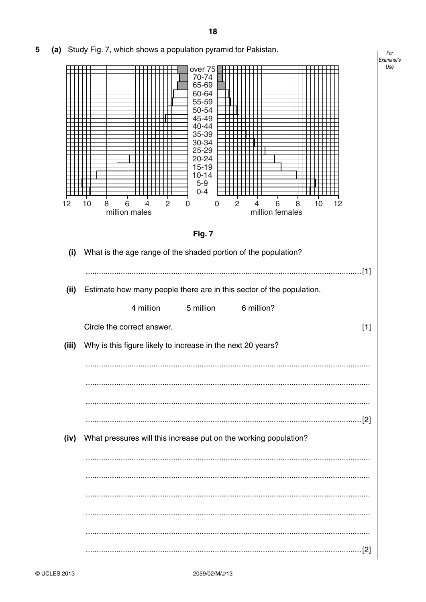5 (a) Study Fig. 7, which shows a population pyramid for Pakistan.

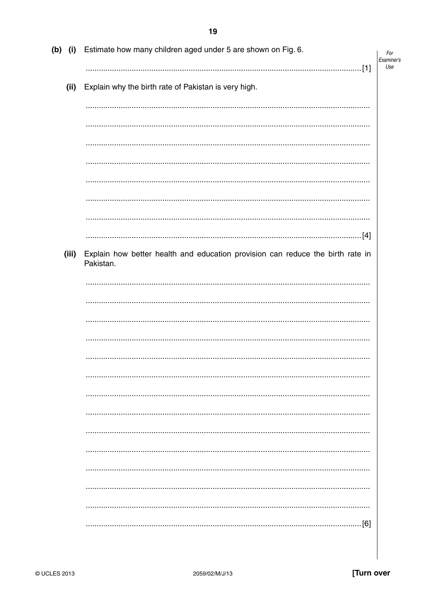| $(b)$ (i) | Estimate how many children aged under 5 are shown on Fig. 6.                                | For<br>Examiner's |
|-----------|---------------------------------------------------------------------------------------------|-------------------|
|           | [1]                                                                                         | Use               |
| (ii)      | Explain why the birth rate of Pakistan is very high.                                        |                   |
|           |                                                                                             |                   |
|           |                                                                                             |                   |
|           |                                                                                             |                   |
|           |                                                                                             |                   |
|           |                                                                                             |                   |
|           |                                                                                             |                   |
|           |                                                                                             |                   |
| (iii)     | Explain how better health and education provision can reduce the birth rate in<br>Pakistan. |                   |
|           |                                                                                             |                   |
|           |                                                                                             |                   |
|           |                                                                                             |                   |
|           |                                                                                             |                   |
|           |                                                                                             |                   |
|           |                                                                                             |                   |
|           |                                                                                             |                   |
|           |                                                                                             |                   |
|           |                                                                                             |                   |
|           |                                                                                             |                   |
|           |                                                                                             |                   |
|           |                                                                                             |                   |
|           |                                                                                             |                   |
|           | . [6]                                                                                       |                   |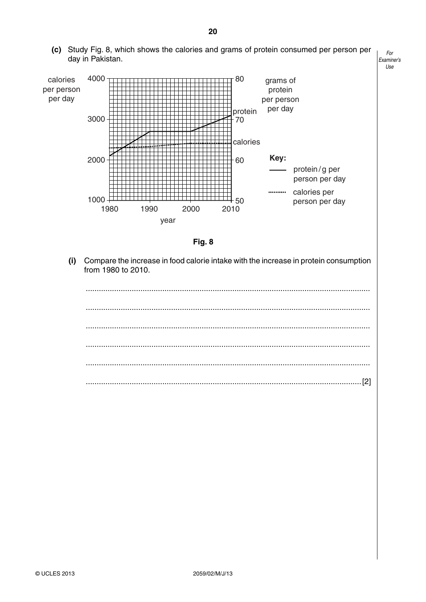



 **(i)** Compare the increase in food calorie intake with the increase in protein consumption from 1980 to 2010.



**20**

 **(c)** Study Fig. 8, which shows the calories and grams of protein consumed per person per

day in Pakistan.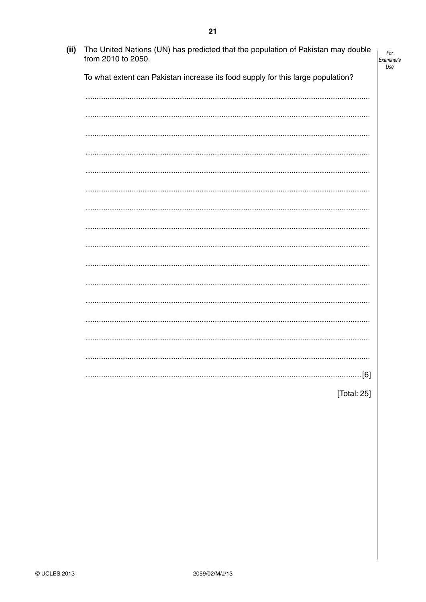$(ii)$ The United Nations (UN) has predicted that the population of Pakistan may double from 2010 to 2050. Examiner's To what extent can Pakistan increase its food supply for this large population? 

[Total: 25]

For

Use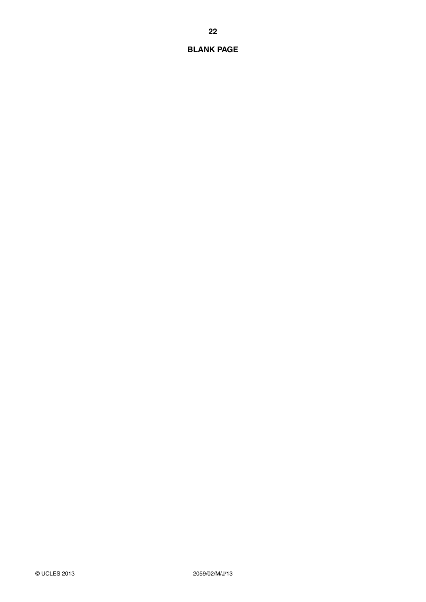#### **BLANK PAGE**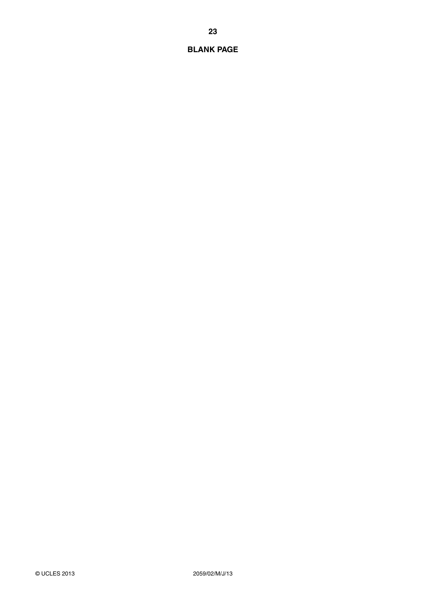#### **BLANK PAGE**